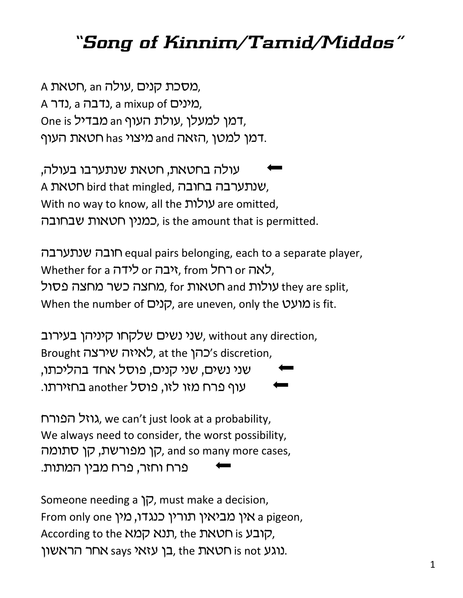## *"Song of Kinnim/Tamid/Middos"*

A מסכת קנים, עולה an חטאת. A (נדבה a nixup of O), מינים, One is מבדיל, עולת העוף an מעדיל, דמן למטן ,הזאה and מיצוי has מיצור has

עולה בחטאת, חטאת שנתערבו בעולה, A שנתערבה בחובה, bird that mingled, שנתערבה בחובה, With no way to know, all the עולות are omitted, כמניו חטאות שבחובה. is the amount that is permitted.

רבה שנתערבה equal pairs belonging, each to a separate player, Whether for a ייבה or לידה, from לאה or יער, מחצה כשר מחצה פסול, for מאות, for מאות they are split, When the number of קונים, are uneven, only the  $y$ וע is fit.

שני נשים שלקחו קיניהן בעירוב, without any direction, Brought כהן at the לאיזה שירצה, at the chiscretion, שני נשים, שני קנים, פוסל אחד בהליכתו, עוף פרח מזו לזו, פוסל another בחזירתו.

גוזל הפורח, we can't just look at a probability, We always need to consider, the worst possibility, קן מפורשת, קן סתומה, קו הומח, קט ה פרח וחזר, פרח מבין המתות.

Someone needing a  $\overline{p}$ , must make a decision, From only one אין מביאין תורין כנגדו, מין a pigeon, According to the קובע , the תנא קמא, the , נוגע is not כן עזאי says אחר הראשון.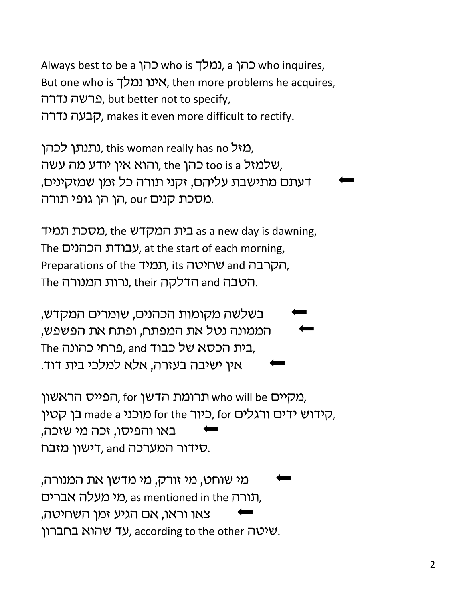Always best to be a כהן who is כמלך, a נמלך, a who inquires, But one who is אינו נמלך, then more problems he acquires, פרשה נדרה, but better not to specify, vrsb vgce, makes it even more difficult to rectify.

מזל ith is woman really has no מאל, והוא אין יודע מה עשה, the כהן, the הוא א דעתם מתישבת עליהם, זקני תורה כל זמן שמזקינים, מסכת קנים our ,הן הן גופי תורה.

מסכת תמיד as a new day is dawning, , $\alpha$ מסכת ממיד The עבודת הכהנים, at the start of each morning, Preparations of the תמיד, its הקרבה, הטבה and הדלקה their ,נרות המנורה.

בשלשה מקומות הכהנים, שומרים המקדש, הממונה נטל את המפתח, ופתח את הפשפש, The בית הכסא של כבוד and ,פרחי כהונה, אין ישיבה בעזרה, אלא למלכי בית דוד.

מקיים who will be תרומת הדשן, for הפייס הראשון, בן קטין, made a הידוש ידים ורגלים, for האנו האלים, and ה באו והפיסו, זכה מי שזכה, סידור המערכה and ,דישון מזבח.

מי שוחט, מי זורק, מי מדשן את המנורה, תורה as mentioned in the מי מעלה אברים, צאו וראו, אם הגיע זמן השחיטה, שהוא בחברון. according to the other שהוא בחברון.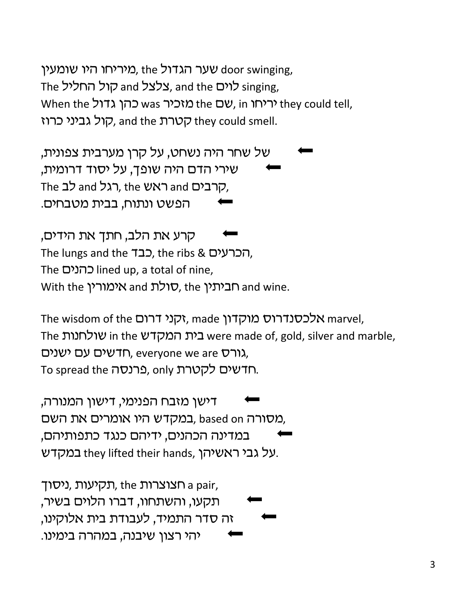שער הגדול the שער הגדול, the שער door swinging, The לוים, and the צלצל and the קול החליל When the לריחו (שם the מזכיר was מוביר when the לריחו they could tell, קול גביני כרוז, and the קטרת, and the קטרת

של שחר היה נשחט, על קרן מערבית צפונית, שירי הדם היה שופך, על יסוד דרומית, The לב and ראש, the רגל and לב הפשט ונתוח, בבית מטבחים.

קרע את הלב, חתך את הידים, The lungs and the רברעים, the ribs & הכרעים The כהנים lined up, a total of nine, With the מימורין and אימורין and wine.

The wisdom of the הקני דרום, made אלכסנדרוס מוקדון, marvel, The שולחנות in the בית המקדש were made of, gold, silver and marble, רדשים עם ישנים, everyone we are גורס, To spread the כרנסה. only כרנסה

דישן מזבח הפנימי, דישון המנורה, במקדש היו אומרים את השם, based on במקדש, במדינה הכהנים, ידיהם כנגד כתפותיהם, על גבי ראשיהן, they lifted their hands במקדש.

תקיעות, ניסוך, the תמיעות, a pair, תקעו, והשתחוו, דברו הלוים בשיר, זה סדר התמיד, לעבודת בית אלוקינו, יהי רצון שיבנה, במהרה בימינו.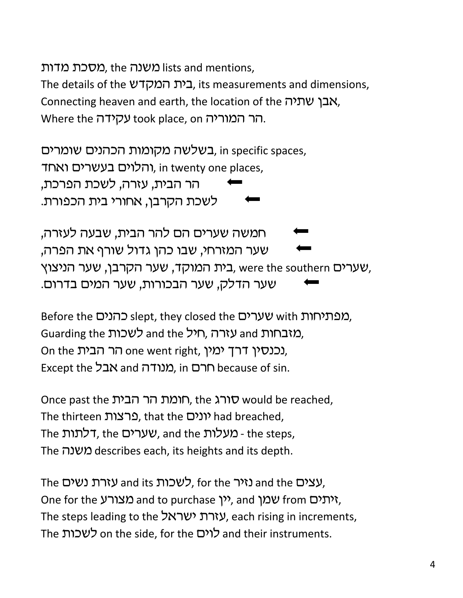מסכת מדות), the משנה lists and mentions,

The details of the בית המקדש, its measurements and dimensions, Connecting heaven and earth, the location of the אבן שתיה. Where the עקידה took place, on הר המוריה.

בשלשה מקומות הכהנים שומרים, in specific spaces, והלוים בעשרים ואחד, in twenty one places, הר הבית, עזרה, לשכת הפרכת, לשכת הקרבן, אחורי בית הכפורת.

חמשה שערים הם להר הבית, שבעה לעזרה, שער המזרחי, שבו כהן גדול שורף את הפרה, שערים were the southern בית המוקד, שער הקרבן, שער הניצוץ, שער הדלק, שער הבכורות, שער המים בדרום.

Before the כהנים slept, they closed the שערים, Guarding the לשכות and the he גורה, חיל On the הר הבית one went right, נכנסין דרך ימין, Except the **בל and מנודה**, in **c**hecause of sin.

Once past the חומת הבית הבית would be reached, The thirteen (ונים, that the כרצות) had breached, The  $T$ לתות, the שערים, and the ovy o - the steps, The משנה describes each, its heights and its depth.

The עזרת נשים, for the לשכות and the עזרת נשים, One for the מצורע and to purchase (יותים, and yיתים from one for the The steps leading to the עזרת ישראל, each rising in increments, The לשכות on the side, for the לוים and their instruments.